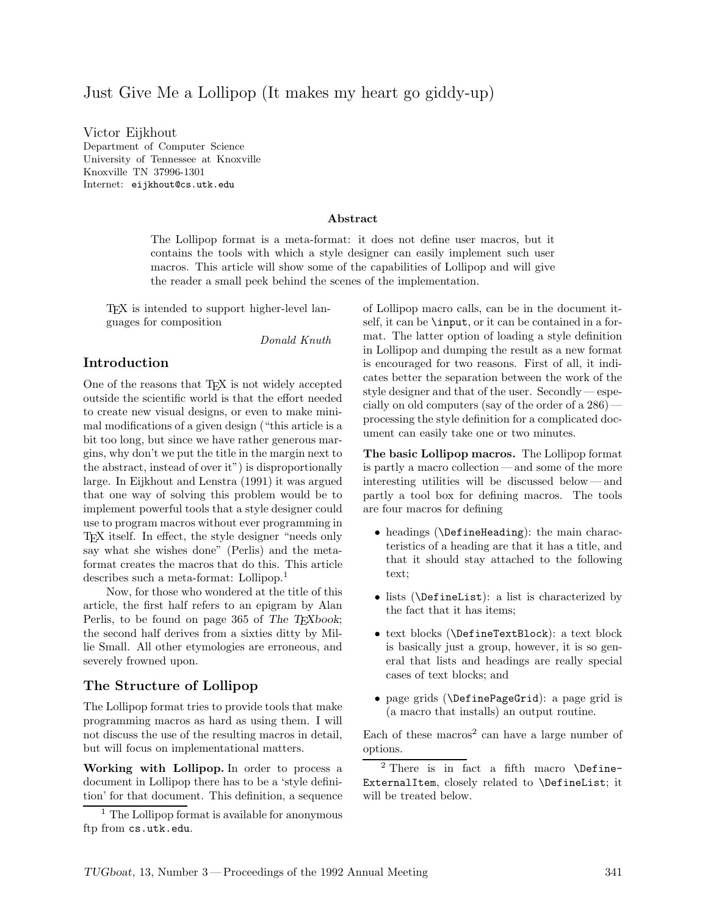# Just Give Me a Lollipop (It makes my heart go giddy-up)

Victor Eijkhout Department of Computer Science University of Tennessee at Knoxville Knoxville TN 37996-1301 Internet: eijkhout@cs.utk.edu

#### **Abstract**

The Lollipop format is a meta-format: it does not define user macros, but it contains the tools with which a style designer can easily implement such user macros. This article will show some of the capabilities of Lollipop and will give the reader a small peek behind the scenes of the implementation.

TEX is intended to support higher-level languages for composition

*Donald Knuth*

# **Introduction**

One of the reasons that T<sub>EX</sub> is not widely accepted outside the scientific world is that the effort needed to create new visual designs, or even to make minimal modifications of a given design ("this article is a bit too long, but since we have rather generous margins, why don't we put the title in the margin next to the abstract, instead of over it") is disproportionally large. In Eijkhout and Lenstra (1991) it was argued that one way of solving this problem would be to implement powerful tools that a style designer could use to program macros without ever programming in TEX itself. In effect, the style designer "needs only say what she wishes done" (Perlis) and the metaformat creates the macros that do this. This article describes such a meta-format: Lollipop.<sup>1</sup>

Now, for those who wondered at the title of this article, the first half refers to an epigram by Alan Perlis, to be found on page 365 of *The TEXbook*; the second half derives from a sixties ditty by Millie Small. All other etymologies are erroneous, and severely frowned upon.

# **The Structure of Lollipop**

The Lollipop format tries to provide tools that make programming macros as hard as using them. I will not discuss the use of the resulting macros in detail, but will focus on implementational matters.

**Working with Lollipop.** In order to process a document in Lollipop there has to be a 'style definition' for that document. This definition, a sequence

of Lollipop macro calls, can be in the document itself, it can be \input, or it can be contained in a format. The latter option of loading a style definition in Lollipop and dumping the result as a new format is encouraged for two reasons. First of all, it indicates better the separation between the work of the style designer and that of the user. Secondly— especially on old computers (say of the order of a 286) processing the style definition for a complicated document can easily take one or two minutes.

**The basic Lollipop macros.** The Lollipop format is partly a macro collection — and some of the more interesting utilities will be discussed below — and partly a tool box for defining macros. The tools are four macros for defining

- *•* headings (\DefineHeading): the main characteristics of a heading are that it has a title, and that it should stay attached to the following text;
- *•* lists (\DefineList): a list is characterized by the fact that it has items;
- *•* text blocks (\DefineTextBlock): a text block is basically just a group, however, it is so general that lists and headings are really special cases of text blocks; and
- *•* page grids (\DefinePageGrid): a page grid is (a macro that installs) an output routine.

Each of these macros<sup>2</sup> can have a large number of options.

<sup>2</sup> There is in fact a fifth macro \Define-ExternalItem, closely related to \DefineList; it will be treated below.

<sup>&</sup>lt;sup>1</sup> The Lollipop format is available for anonymous ftp from cs.utk.edu.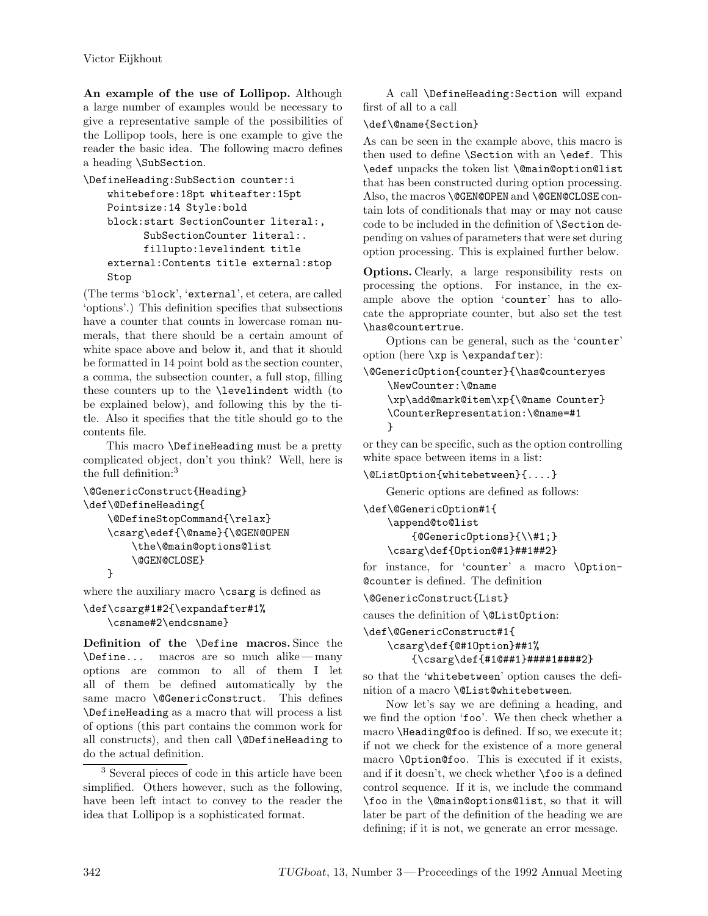**An example of the use of Lollipop.** Although a large number of examples would be necessary to give a representative sample of the possibilities of the Lollipop tools, here is one example to give the reader the basic idea. The following macro defines a heading \SubSection.

```
\DefineHeading:SubSection counter:i
   whitebefore:18pt whiteafter:15pt
   Pointsize:14 Style:bold
   block:start SectionCounter literal:,
          SubSectionCounter literal:.
          fillupto:levelindent title
   external:Contents title external:stop
   Stop
```
(The terms 'block', 'external', et cetera, are called 'options'.) This definition specifies that subsections have a counter that counts in lowercase roman numerals, that there should be a certain amount of white space above and below it, and that it should be formatted in 14 point bold as the section counter, a comma, the subsection counter, a full stop, filling these counters up to the \levelindent width (to be explained below), and following this by the title. Also it specifies that the title should go to the contents file.

This macro **\DefineHeading** must be a pretty complicated object, don't you think? Well, here is the full definition:<sup>3</sup>

```
\@GenericConstruct{Heading}
\def\@DefineHeading{
    \@DefineStopCommand{\relax}
    \csarg\edef{\@name}{\@GEN@OPEN
        \the\@main@options@list
        \@GEN@CLOSE}
    }
```
where the auxiliary macro **\csarg** is defined as

```
\def\csarg#1#2{\expandafter#1%
    \csname#2\endcsname}
```
**Definition of the** \Define **macros.** Since the \Define... macros are so much alike— many options are common to all of them I let all of them be defined automatically by the same macro **\@GenericConstruct**. This defines \DefineHeading as a macro that will process a list of options (this part contains the common work for all constructs), and then call \@DefineHeading to do the actual definition.

<sup>3</sup> Several pieces of code in this article have been simplified. Others however, such as the following, have been left intact to convey to the reader the idea that Lollipop is a sophisticated format.

A call \DefineHeading:Section will expand first of all to a call

#### \def\@name{Section}

As can be seen in the example above, this macro is then used to define \Section with an \edef. This \edef unpacks the token list \@main@option@list that has been constructed during option processing. Also, the macros \@GEN@OPEN and \@GEN@CLOSE contain lots of conditionals that may or may not cause code to be included in the definition of \Section depending on values of parameters that were set during option processing. This is explained further below.

**Options.** Clearly, a large responsibility rests on processing the options. For instance, in the example above the option 'counter' has to allocate the appropriate counter, but also set the test \has@countertrue.

Options can be general, such as the 'counter' option (here  $\x$ p is  $\exp$ andafter):

```
\@GenericOption{counter}{\has@counteryes
   \NewCounter:\@name
    \xp\add@mark@item\xp{\@name Counter}
   \CounterRepresentation:\@name=#1
    }
```
or they can be specific, such as the option controlling white space between items in a list:

\@ListOption{whitebetween}{....}

Generic options are defined as follows:

```
\def\@GenericOption#1{
   \append@to@list
        {@GenericOptions}{\\#1;}
   \csarg\def{Option@#1}##1##2}
```
for instance, for 'counter' a macro \Option- @counter is defined. The definition

\@GenericConstruct{List}

causes the definition of \@ListOption:

```
\def\@GenericConstruct#1{
```

```
\csarg\def{@#1Option}##1%
   {\csarg\def{#1@##1}####1####2}
```
so that the 'whitebetween' option causes the definition of a macro \@List@whitebetween.

Now let's say we are defining a heading, and we find the option 'foo'. We then check whether a macro \Heading@foo is defined. If so, we execute it; if not we check for the existence of a more general macro \Option@foo. This is executed if it exists, and if it doesn't, we check whether  $\text{100}$  is a defined control sequence. If it is, we include the command \foo in the \@main@options@list, so that it will later be part of the definition of the heading we are defining; if it is not, we generate an error message.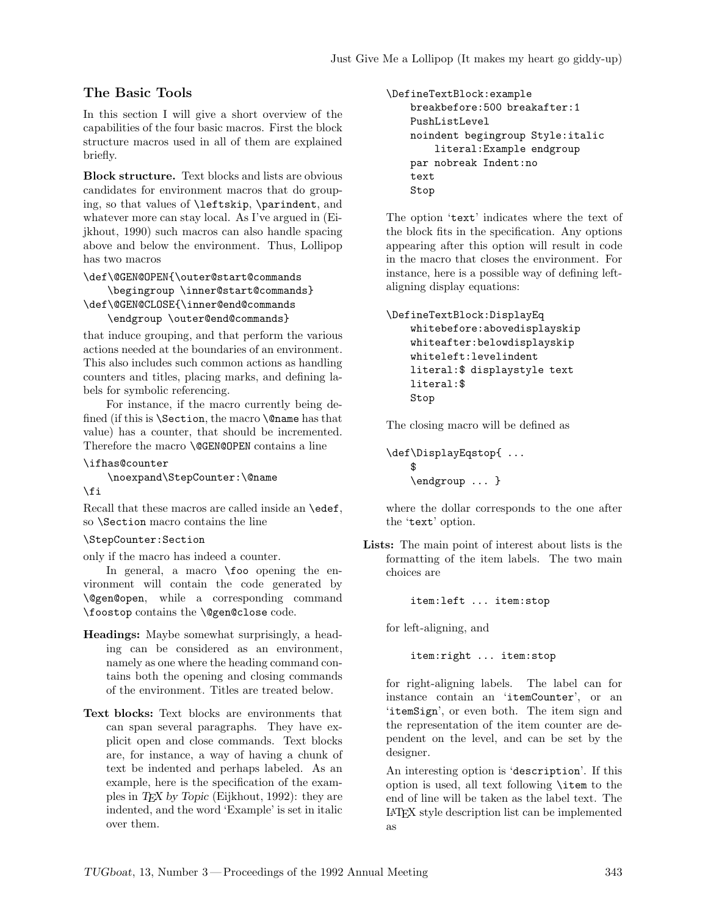# **The Basic Tools**

In this section I will give a short overview of the capabilities of the four basic macros. First the block structure macros used in all of them are explained briefly.

**Block structure.** Text blocks and lists are obvious candidates for environment macros that do grouping, so that values of \leftskip, \parindent, and whatever more can stay local. As I've argued in (Eijkhout, 1990) such macros can also handle spacing above and below the environment. Thus, Lollipop has two macros

```
\def\@GEN@OPEN{\outer@start@commands
   \begingroup \inner@start@commands}
\def\@GEN@CLOSE{\inner@end@commands
   \endgroup \outer@end@commands}
```
that induce grouping, and that perform the various actions needed at the boundaries of an environment. This also includes such common actions as handling counters and titles, placing marks, and defining labels for symbolic referencing.

For instance, if the macro currently being defined (if this is \Section, the macro \@name has that value) has a counter, that should be incremented. Therefore the macro **\@GEN@OPEN** contains a line

```
\ifhas@counter
```
\noexpand\StepCounter:\@name

```
\fi
```
Recall that these macros are called inside an \edef, so \Section macro contains the line

```
\StepCounter:Section
```
only if the macro has indeed a counter.

In general, a macro \foo opening the environment will contain the code generated by \@gen@open, while a corresponding command \foostop contains the \@gen@close code.

- **Headings:** Maybe somewhat surprisingly, a heading can be considered as an environment, namely as one where the heading command contains both the opening and closing commands of the environment. Titles are treated below.
- **Text blocks:** Text blocks are environments that can span several paragraphs. They have explicit open and close commands. Text blocks are, for instance, a way of having a chunk of text be indented and perhaps labeled. As an example, here is the specification of the examples in *TEX by Topic* (Eijkhout, 1992): they are indented, and the word 'Example' is set in italic over them.

```
\DefineTextBlock:example
   breakbefore:500 breakafter:1
   PushListLevel
   noindent begingroup Style:italic
        literal:Example endgroup
   par nobreak Indent:no
   text
   Stop
```
The option 'text' indicates where the text of the block fits in the specification. Any options appearing after this option will result in code in the macro that closes the environment. For instance, here is a possible way of defining leftaligning display equations:

```
\DefineTextBlock:DisplayEq
   whitebefore:abovedisplayskip
   whiteafter:belowdisplayskip
   whiteleft:levelindent
   literal:$ displaystyle text
   literal:$
   Stop
```
The closing macro will be defined as

\def\DisplayEqstop{ ... \$ \endgroup ... }

where the dollar corresponds to the one after the 'text' option.

**Lists:** The main point of interest about lists is the formatting of the item labels. The two main choices are

item:left ... item:stop

for left-aligning, and

item:right ... item:stop

for right-aligning labels. The label can for instance contain an 'itemCounter', or an 'itemSign', or even both. The item sign and the representation of the item counter are dependent on the level, and can be set by the designer.

An interesting option is 'description'. If this option is used, all text following \item to the end of line will be taken as the label text. The LATEX style description list can be implemented as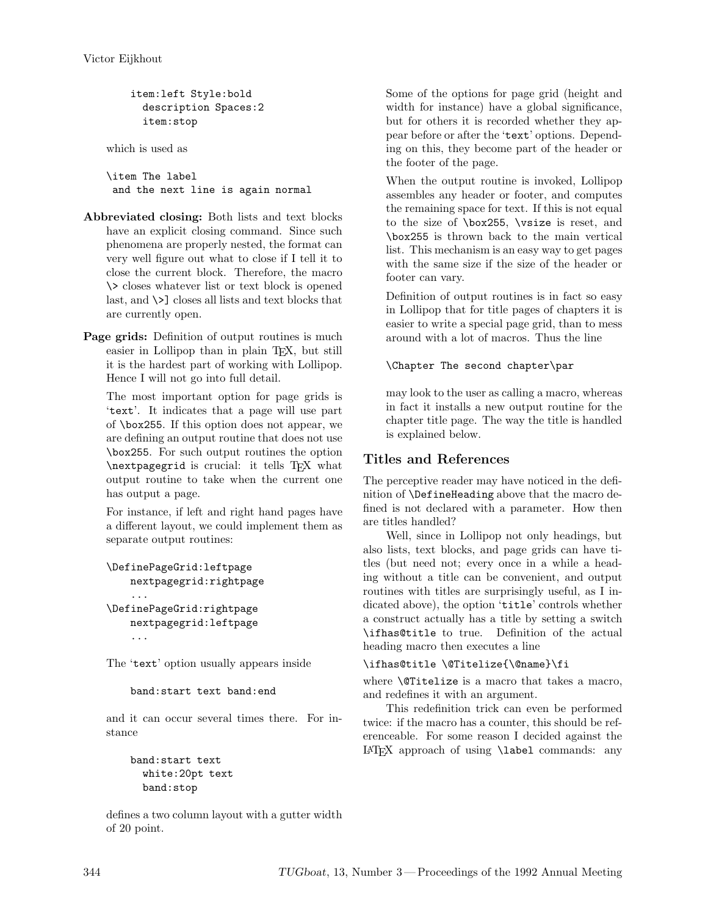```
item:left Style:bold
  description Spaces:2
  item:stop
```
which is used as

\item The label and the next line is again normal

- **Abbreviated closing:** Both lists and text blocks have an explicit closing command. Since such phenomena are properly nested, the format can very well figure out what to close if I tell it to close the current block. Therefore, the macro \> closes whatever list or text block is opened last, and \>] closes all lists and text blocks that are currently open.
- **Page grids:** Definition of output routines is much easier in Lollipop than in plain T<sub>EX</sub>, but still it is the hardest part of working with Lollipop. Hence I will not go into full detail.

The most important option for page grids is 'text'. It indicates that a page will use part of \box255. If this option does not appear, we are defining an output routine that does not use \box255. For such output routines the option \nextpagegrid is crucial: it tells TEX what output routine to take when the current one has output a page.

For instance, if left and right hand pages have a different layout, we could implement them as separate output routines:

```
\DefinePageGrid:leftpage
    nextpagegrid:rightpage
    ...
\DefinePageGrid:rightpage
    nextpagegrid:leftpage
    ...
```
The 'text' option usually appears inside

```
band:start text band:end
```
and it can occur several times there. For instance

```
band:start text
  white:20pt text
  band:stop
```
defines a two column layout with a gutter width of 20 point.

Some of the options for page grid (height and width for instance) have a global significance, but for others it is recorded whether they appear before or after the 'text' options. Depending on this, they become part of the header or the footer of the page.

When the output routine is invoked, Lollipop assembles any header or footer, and computes the remaining space for text. If this is not equal to the size of \box255, \vsize is reset, and \box255 is thrown back to the main vertical list. This mechanism is an easy way to get pages with the same size if the size of the header or footer can vary.

Definition of output routines is in fact so easy in Lollipop that for title pages of chapters it is easier to write a special page grid, than to mess around with a lot of macros. Thus the line

## \Chapter The second chapter\par

may look to the user as calling a macro, whereas in fact it installs a new output routine for the chapter title page. The way the title is handled is explained below.

# **Titles and References**

The perceptive reader may have noticed in the definition of \DefineHeading above that the macro defined is not declared with a parameter. How then are titles handled?

Well, since in Lollipop not only headings, but also lists, text blocks, and page grids can have titles (but need not; every once in a while a heading without a title can be convenient, and output routines with titles are surprisingly useful, as I indicated above), the option 'title' controls whether a construct actually has a title by setting a switch \ifhas@title to true. Definition of the actual heading macro then executes a line

\ifhas@title \@Titelize{\@name}\fi

where \@Titelize is a macro that takes a macro, and redefines it with an argument.

This redefinition trick can even be performed twice: if the macro has a counter, this should be referenceable. For some reason I decided against the LATEX approach of using \label commands: any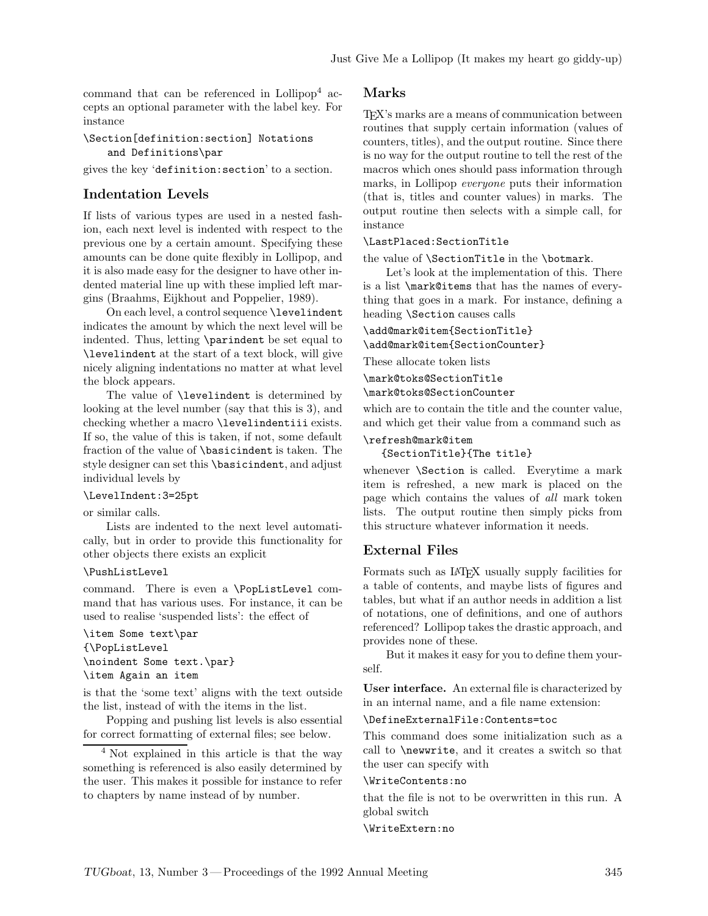command that can be referenced in Lollipop<sup>4</sup> accepts an optional parameter with the label key. For instance

#### \Section[definition:section] Notations and Definitions\par

gives the key 'definition:section' to a section.

# **Indentation Levels**

If lists of various types are used in a nested fashion, each next level is indented with respect to the previous one by a certain amount. Specifying these amounts can be done quite flexibly in Lollipop, and it is also made easy for the designer to have other indented material line up with these implied left margins (Braahms, Eijkhout and Poppelier, 1989).

On each level, a control sequence \levelindent indicates the amount by which the next level will be indented. Thus, letting \parindent be set equal to \levelindent at the start of a text block, will give nicely aligning indentations no matter at what level the block appears.

The value of \levelindent is determined by looking at the level number (say that this is 3), and checking whether a macro \levelindentiii exists. If so, the value of this is taken, if not, some default fraction of the value of \basicindent is taken. The style designer can set this \basicindent, and adjust individual levels by

#### \LevelIndent:3=25pt

or similar calls.

Lists are indented to the next level automatically, but in order to provide this functionality for other objects there exists an explicit

#### \PushListLevel

command. There is even a \PopListLevel command that has various uses. For instance, it can be used to realise 'suspended lists': the effect of

\item Some text\par {\PopListLevel \noindent Some text.\par} \item Again an item

is that the 'some text' aligns with the text outside the list, instead of with the items in the list.

Popping and pushing list levels is also essential for correct formatting of external files; see below.

<sup>4</sup> Not explained in this article is that the way something is referenced is also easily determined by the user. This makes it possible for instance to refer to chapters by name instead of by number.

### **Marks**

TEX's marks are a means of communication between routines that supply certain information (values of counters, titles), and the output routine. Since there is no way for the output routine to tell the rest of the macros which ones should pass information through marks, in Lollipop *everyone* puts their information (that is, titles and counter values) in marks. The output routine then selects with a simple call, for instance

#### \LastPlaced:SectionTitle

the value of \SectionTitle in the \botmark.

Let's look at the implementation of this. There is a list \mark@items that has the names of everything that goes in a mark. For instance, defining a heading \Section causes calls

\add@mark@item{SectionTitle}

\add@mark@item{SectionCounter}

These allocate token lists

\mark@toks@SectionTitle

\mark@toks@SectionCounter

which are to contain the title and the counter value, and which get their value from a command such as \refresh@mark@item

{SectionTitle}{The title}

whenever \Section is called. Everytime a mark item is refreshed, a new mark is placed on the page which contains the values of *all* mark token lists. The output routine then simply picks from this structure whatever information it needs.

## **External Files**

Formats such as LATEX usually supply facilities for a table of contents, and maybe lists of figures and tables, but what if an author needs in addition a list of notations, one of definitions, and one of authors referenced? Lollipop takes the drastic approach, and provides none of these.

But it makes it easy for you to define them yourself.

**User interface.** An external file is characterized by in an internal name, and a file name extension:

\DefineExternalFile:Contents=toc

This command does some initialization such as a call to \newwrite, and it creates a switch so that the user can specify with

#### \WriteContents:no

that the file is not to be overwritten in this run. A global switch

\WriteExtern:no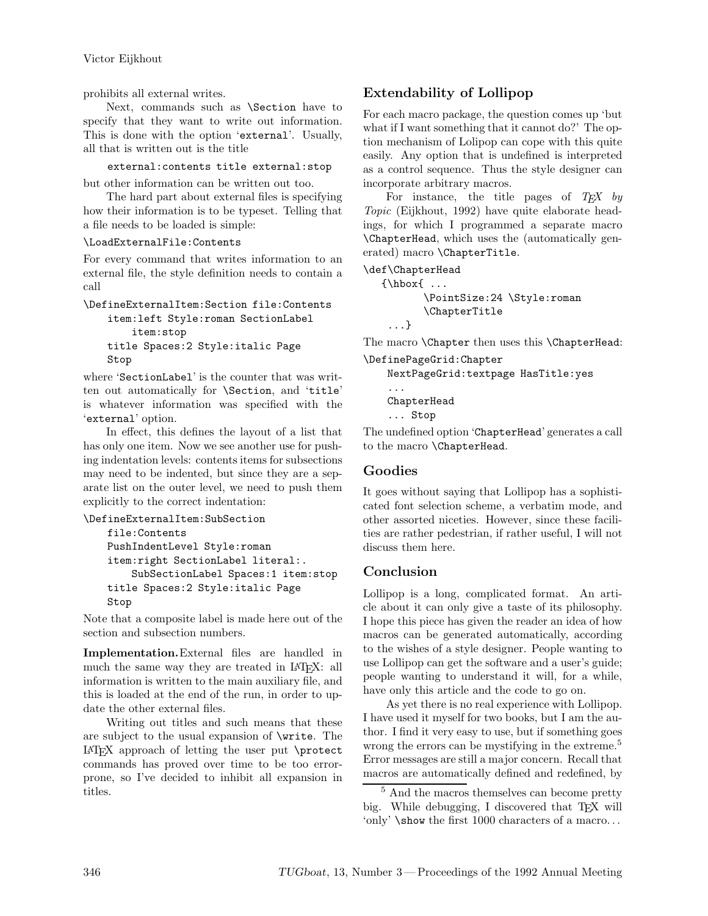prohibits all external writes.

Next, commands such as \Section have to specify that they want to write out information. This is done with the option 'external'. Usually, all that is written out is the title

external:contents title external:stop

but other information can be written out too.

The hard part about external files is specifying how their information is to be typeset. Telling that a file needs to be loaded is simple:

## \LoadExternalFile:Contents

For every command that writes information to an external file, the style definition needs to contain a call

\DefineExternalItem:Section file:Contents item:left Style:roman SectionLabel item:stop

title Spaces:2 Style:italic Page Stop

where 'SectionLabel' is the counter that was written out automatically for \Section, and 'title' is whatever information was specified with the 'external' option.

In effect, this defines the layout of a list that has only one item. Now we see another use for pushing indentation levels: contents items for subsections may need to be indented, but since they are a separate list on the outer level, we need to push them explicitly to the correct indentation:

## \DefineExternalItem:SubSection

```
file:Contents
PushIndentLevel Style:roman
item:right SectionLabel literal:.
    SubSectionLabel Spaces:1 item:stop
title Spaces:2 Style:italic Page
Stop
```
Note that a composite label is made here out of the section and subsection numbers.

**Implementation.**External files are handled in much the same way they are treated in IATFX: all information is written to the main auxiliary file, and this is loaded at the end of the run, in order to update the other external files.

Writing out titles and such means that these are subject to the usual expansion of \write. The LATEX approach of letting the user put \protect commands has proved over time to be too errorprone, so I've decided to inhibit all expansion in titles.

# **Extendability of Lollipop**

For each macro package, the question comes up 'but what if I want something that it cannot do?' The option mechanism of Lolipop can cope with this quite easily. Any option that is undefined is interpreted as a control sequence. Thus the style designer can incorporate arbitrary macros.

For instance, the title pages of *TEX by Topic* (Eijkhout, 1992) have quite elaborate headings, for which I programmed a separate macro \ChapterHead, which uses the (automatically generated) macro \ChapterTitle.

\def\ChapterHead

```
{\hbox{\label{thd} \ldots} }\PointSize:24 \Style:roman
         \ChapterTitle
 ...}
```
The macro **\Chapter** then uses this **\ChapterHead**: \DefinePageGrid:Chapter

NextPageGrid:textpage HasTitle:yes ... ChapterHead

... Stop

The undefined option 'ChapterHead' generates a call to the macro \ChapterHead.

# **Goodies**

It goes without saying that Lollipop has a sophisticated font selection scheme, a verbatim mode, and other assorted niceties. However, since these facilities are rather pedestrian, if rather useful, I will not discuss them here.

# **Conclusion**

Lollipop is a long, complicated format. An article about it can only give a taste of its philosophy. I hope this piece has given the reader an idea of how macros can be generated automatically, according to the wishes of a style designer. People wanting to use Lollipop can get the software and a user's guide; people wanting to understand it will, for a while, have only this article and the code to go on.

As yet there is no real experience with Lollipop. I have used it myself for two books, but I am the author. I find it very easy to use, but if something goes wrong the errors can be mystifying in the extreme.<sup>5</sup> Error messages are still a major concern. Recall that macros are automatically defined and redefined, by

<sup>5</sup> And the macros themselves can become pretty big. While debugging, I discovered that TEX will 'only' \show the first 1000 characters of a macro. . .